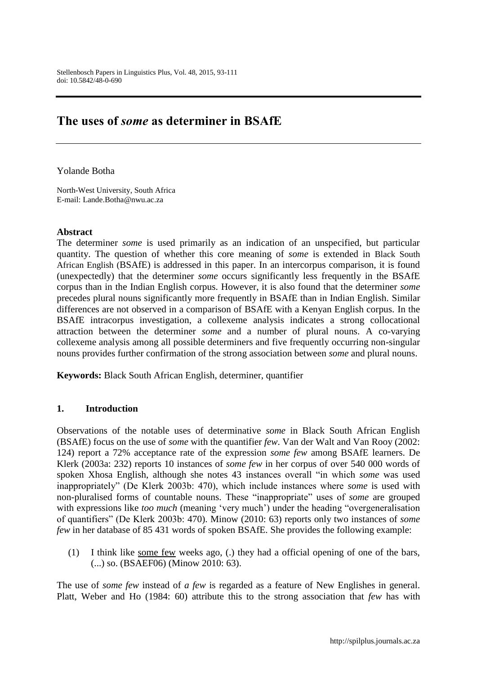# **The uses of** *some* **as determiner in BSAfE**

Yolande Botha

North-West University, South Africa E-mail: Lande.Botha@nwu.ac.za

#### **Abstract**

The determiner *some* is used primarily as an indication of an unspecified, but particular quantity. The question of whether this core meaning of *some* is extended in Black South African English (BSAfE) is addressed in this paper. In an intercorpus comparison, it is found (unexpectedly) that the determiner *some* occurs significantly less frequently in the BSAfE corpus than in the Indian English corpus. However, it is also found that the determiner *some* precedes plural nouns significantly more frequently in BSAfE than in Indian English. Similar differences are not observed in a comparison of BSAfE with a Kenyan English corpus. In the BSAfE intracorpus investigation, a collexeme analysis indicates a strong collocational attraction between the determiner *some* and a number of plural nouns. A co-varying collexeme analysis among all possible determiners and five frequently occurring non-singular nouns provides further confirmation of the strong association between *some* and plural nouns.

**Keywords:** Black South African English, determiner, quantifier

## **1. Introduction**

Observations of the notable uses of determinative *some* in Black South African English (BSAfE) focus on the use of *some* with the quantifier *few*. Van der Walt and Van Rooy (2002: 124) report a 72% acceptance rate of the expression *some few* among BSAfE learners. De Klerk (2003a: 232) reports 10 instances of *some few* in her corpus of over 540 000 words of spoken Xhosa English, although she notes 43 instances overall "in which *some* was used inappropriately" (De Klerk 2003b: 470), which include instances where *some* is used with non-pluralised forms of countable nouns. These "inappropriate" uses of *some* are grouped with expressions like *too much* (meaning 'very much') under the heading "overgeneralisation of quantifiers" (De Klerk 2003b: 470). Minow (2010: 63) reports only two instances of *some few* in her database of 85 431 words of spoken BSAfE. She provides the following example:

(1) I think like some few weeks ago, (.) they had a official opening of one of the bars, (...) so. (BSAEF06) (Minow 2010: 63).

The use of *some few* instead of *a few* is regarded as a feature of New Englishes in general. Platt, Weber and Ho (1984: 60) attribute this to the strong association that *few* has with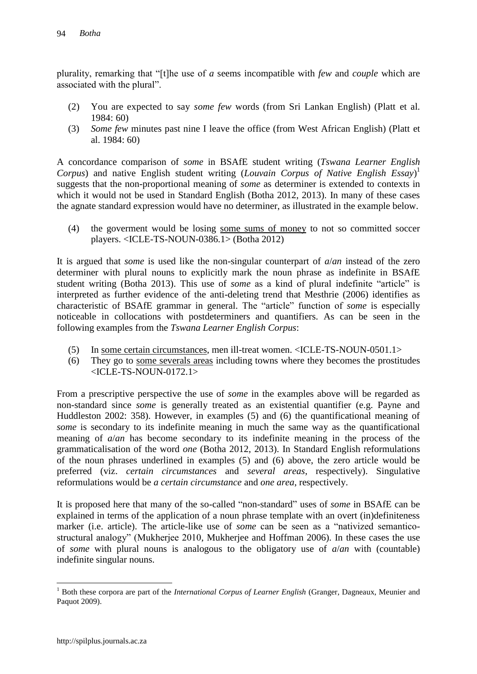plurality, remarking that "[t]he use of *a* seems incompatible with *few* and *couple* which are associated with the plural".

- (2) You are expected to say *some few* words (from Sri Lankan English) (Platt et al. 1984: 60)
- (3) *Some few* minutes past nine I leave the office (from West African English) (Platt et al. 1984: 60)

A concordance comparison of *some* in BSAfE student writing (*Tswana Learner English Corpus*) and native English student writing (*Louvain Corpus of Native English Essay*) 1 suggests that the non-proportional meaning of *some* as determiner is extended to contexts in which it would not be used in Standard English (Botha 2012, 2013). In many of these cases the agnate standard expression would have no determiner, as illustrated in the example below.

(4) the goverment would be losing some sums of money to not so committed soccer players. <ICLE-TS-NOUN-0386.1> (Botha 2012)

It is argued that *some* is used like the non-singular counterpart of *a*/*an* instead of the zero determiner with plural nouns to explicitly mark the noun phrase as indefinite in BSAfE student writing (Botha 2013). This use of *some* as a kind of plural indefinite "article" is interpreted as further evidence of the anti-deleting trend that Mesthrie (2006) identifies as characteristic of BSAfE grammar in general. The "article" function of *some* is especially noticeable in collocations with postdeterminers and quantifiers. As can be seen in the following examples from the *Tswana Learner English Corpus*:

- (5) In some certain circumstances, men ill-treat women. <ICLE-TS-NOUN-0501.1>
- (6) They go to some severals areas including towns where they becomes the prostitudes <ICLE-TS-NOUN-0172.1>

From a prescriptive perspective the use of *some* in the examples above will be regarded as non-standard since *some* is generally treated as an existential quantifier (e.g. Payne and Huddleston 2002: 358). However, in examples (5) and (6) the quantificational meaning of *some* is secondary to its indefinite meaning in much the same way as the quantificational meaning of *a*/*an* has become secondary to its indefinite meaning in the process of the grammaticalisation of the word *one* (Botha 2012, 2013). In Standard English reformulations of the noun phrases underlined in examples (5) and (6) above, the zero article would be preferred (viz. *certain circumstances* and *several areas*, respectively). Singulative reformulations would be *a certain circumstance* and *one area*, respectively.

It is proposed here that many of the so-called "non-standard" uses of *some* in BSAfE can be explained in terms of the application of a noun phrase template with an overt (in)definiteness marker (i.e. article). The article-like use of *some* can be seen as a "nativized semanticostructural analogy" (Mukherjee 2010, Mukherjee and Hoffman 2006). In these cases the use of *some* with plural nouns is analogous to the obligatory use of *a*/*an* with (countable) indefinite singular nouns.

<sup>&</sup>lt;sup>1</sup> Both these corpora are part of the *International Corpus of Learner English* (Granger, Dagneaux, Meunier and Paquot 2009).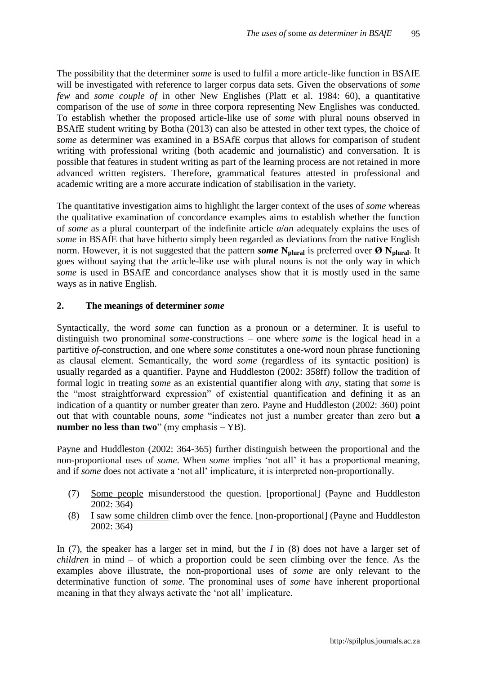The possibility that the determiner *some* is used to fulfil a more article-like function in BSAfE will be investigated with reference to larger corpus data sets. Given the observations of *some few* and *some couple of* in other New Englishes (Platt et al. 1984: 60), a quantitative comparison of the use of *some* in three corpora representing New Englishes was conducted. To establish whether the proposed article-like use of *some* with plural nouns observed in BSAfE student writing by Botha (2013) can also be attested in other text types, the choice of *some* as determiner was examined in a BSAfE corpus that allows for comparison of student writing with professional writing (both academic and journalistic) and conversation. It is possible that features in student writing as part of the learning process are not retained in more advanced written registers. Therefore, grammatical features attested in professional and academic writing are a more accurate indication of stabilisation in the variety.

The quantitative investigation aims to highlight the larger context of the uses of *some* whereas the qualitative examination of concordance examples aims to establish whether the function of *some* as a plural counterpart of the indefinite article *a*/*an* adequately explains the uses of *some* in BSAfE that have hitherto simply been regarded as deviations from the native English norm. However, it is not suggested that the pattern *some*  $N_{\text{plural}}$  is preferred over  $\emptyset$   $N_{\text{plural}}$ . It goes without saying that the article-like use with plural nouns is not the only way in which *some* is used in BSAfE and concordance analyses show that it is mostly used in the same ways as in native English.

## **2. The meanings of determiner** *some*

Syntactically, the word *some* can function as a pronoun or a determiner. It is useful to distinguish two pronominal *some*-constructions – one where *some* is the logical head in a partitive *of*-construction, and one where *some* constitutes a one-word noun phrase functioning as clausal element. Semantically, the word *some* (regardless of its syntactic position) is usually regarded as a quantifier. Payne and Huddleston (2002: 358ff) follow the tradition of formal logic in treating *some* as an existential quantifier along with *any*, stating that *some* is the "most straightforward expression" of existential quantification and defining it as an indication of a quantity or number greater than zero. Payne and Huddleston (2002: 360) point out that with countable nouns, *some* "indicates not just a number greater than zero but **a number no less than two**" (my emphasis – YB).

Payne and Huddleston (2002: 364-365) further distinguish between the proportional and the non-proportional uses of *some*. When *some* implies 'not all' it has a proportional meaning, and if *some* does not activate a "not all" implicature, it is interpreted non-proportionally.

- (7) Some people misunderstood the question. [proportional] (Payne and Huddleston 2002: 364)
- (8) I saw some children climb over the fence. [non-proportional] (Payne and Huddleston 2002: 364)

In (7), the speaker has a larger set in mind, but the *I* in (8) does not have a larger set of *children* in mind – of which a proportion could be seen climbing over the fence. As the examples above illustrate, the non-proportional uses of *some* are only relevant to the determinative function of *some*. The pronominal uses of *some* have inherent proportional meaning in that they always activate the 'not all' implicature.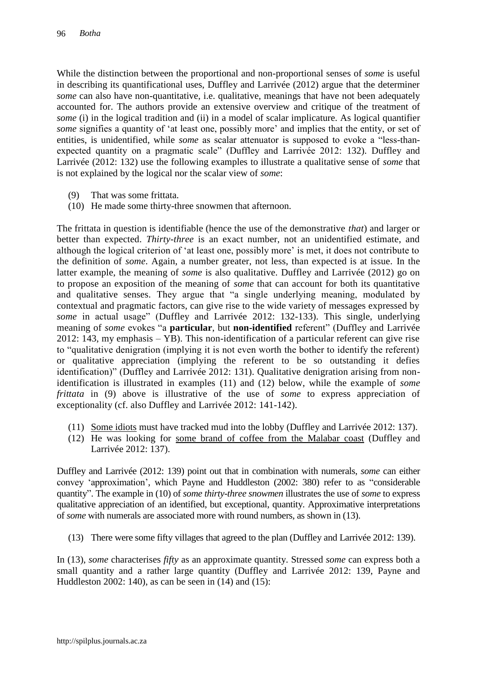While the distinction between the proportional and non-proportional senses of *some* is useful in describing its quantificational uses, Duffley and Larrivée (2012) argue that the determiner *some* can also have non-quantitative, i.e. qualitative, meanings that have not been adequately accounted for. The authors provide an extensive overview and critique of the treatment of *some* (i) in the logical tradition and (ii) in a model of scalar implicature. As logical quantifier *some* signifies a quantity of 'at least one, possibly more' and implies that the entity, or set of entities, is unidentified, while *some* as scalar attenuator is supposed to evoke a "less-thanexpected quantity on a pragmatic scale" (Duffley and Larrivée 2012: 132). Duffley and Larrivée (2012: 132) use the following examples to illustrate a qualitative sense of *some* that is not explained by the logical nor the scalar view of *some*:

- (9) That was some frittata.
- (10) He made some thirty-three snowmen that afternoon.

The frittata in question is identifiable (hence the use of the demonstrative *that*) and larger or better than expected. *Thirty-three* is an exact number, not an unidentified estimate, and although the logical criterion of 'at least one, possibly more' is met, it does not contribute to the definition of *some*. Again, a number greater, not less, than expected is at issue. In the latter example, the meaning of *some* is also qualitative. Duffley and Larrivée (2012) go on to propose an exposition of the meaning of *some* that can account for both its quantitative and qualitative senses. They argue that "a single underlying meaning, modulated by contextual and pragmatic factors, can give rise to the wide variety of messages expressed by *some* in actual usage" (Duffley and Larrivée 2012: 132-133). This single, underlying meaning of *some* evokes "a **particular**, but **non-identified** referent" (Duffley and Larrivée 2012: 143, my emphasis – YB). This non-identification of a particular referent can give rise to "qualitative denigration (implying it is not even worth the bother to identify the referent) or qualitative appreciation (implying the referent to be so outstanding it defies identification)" (Duffley and Larrivée 2012: 131). Qualitative denigration arising from nonidentification is illustrated in examples (11) and (12) below, while the example of *some frittata* in (9) above is illustrative of the use of *some* to express appreciation of exceptionality (cf. also Duffley and Larrivée 2012: 141-142).

- (11) Some idiots must have tracked mud into the lobby (Duffley and Larrivée 2012: 137).
- (12) He was looking for some brand of coffee from the Malabar coast (Duffley and Larrivée 2012: 137).

Duffley and Larrivée (2012: 139) point out that in combination with numerals, *some* can either convey "approximation", which Payne and Huddleston (2002: 380) refer to as "considerable quantity". The example in (10) of *some thirty-three snowmen* illustrates the use of *some* to express qualitative appreciation of an identified, but exceptional, quantity. Approximative interpretations of *some* with numerals are associated more with round numbers, as shown in (13).

(13) There were some fifty villages that agreed to the plan (Duffley and Larrivée 2012: 139).

In (13), *some* characterises *fifty* as an approximate quantity. Stressed *some* can express both a small quantity and a rather large quantity (Duffley and Larrivée 2012: 139, Payne and Huddleston 2002: 140), as can be seen in (14) and (15):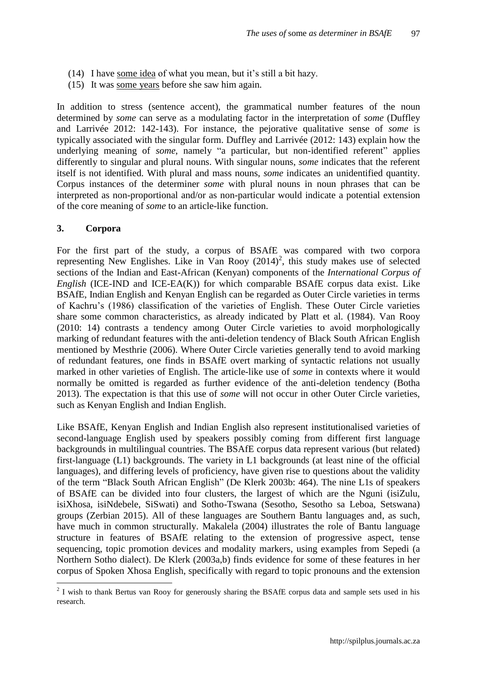- (14) I have some idea of what you mean, but it's still a bit hazy.
- (15) It was some years before she saw him again.

In addition to stress (sentence accent), the grammatical number features of the noun determined by *some* can serve as a modulating factor in the interpretation of *some* (Duffley and Larrivée 2012: 142-143). For instance, the pejorative qualitative sense of *some* is typically associated with the singular form. Duffley and Larrivée (2012: 143) explain how the underlying meaning of *some*, namely "a particular, but non-identified referent" applies differently to singular and plural nouns. With singular nouns, *some* indicates that the referent itself is not identified. With plural and mass nouns, *some* indicates an unidentified quantity. Corpus instances of the determiner *some* with plural nouns in noun phrases that can be interpreted as non-proportional and/or as non-particular would indicate a potential extension of the core meaning of *some* to an article-like function.

#### **3. Corpora**

 $\overline{a}$ 

For the first part of the study, a corpus of BSAfE was compared with two corpora representing New Englishes. Like in Van Rooy  $(2014)^2$ , this study makes use of selected sections of the Indian and East-African (Kenyan) components of the *International Corpus of English* (ICE-IND and ICE-EA(K)) for which comparable BSAfE corpus data exist. Like BSAfE, Indian English and Kenyan English can be regarded as Outer Circle varieties in terms of Kachru"s (1986) classification of the varieties of English. These Outer Circle varieties share some common characteristics, as already indicated by Platt et al. (1984). Van Rooy (2010: 14) contrasts a tendency among Outer Circle varieties to avoid morphologically marking of redundant features with the anti-deletion tendency of Black South African English mentioned by Mesthrie (2006). Where Outer Circle varieties generally tend to avoid marking of redundant features, one finds in BSAfE overt marking of syntactic relations not usually marked in other varieties of English. The article-like use of *some* in contexts where it would normally be omitted is regarded as further evidence of the anti-deletion tendency (Botha 2013). The expectation is that this use of *some* will not occur in other Outer Circle varieties, such as Kenyan English and Indian English.

Like BSAfE, Kenyan English and Indian English also represent institutionalised varieties of second-language English used by speakers possibly coming from different first language backgrounds in multilingual countries. The BSAfE corpus data represent various (but related) first-language (L1) backgrounds. The variety in L1 backgrounds (at least nine of the official languages), and differing levels of proficiency, have given rise to questions about the validity of the term "Black South African English" (De Klerk 2003b: 464). The nine L1s of speakers of BSAfE can be divided into four clusters, the largest of which are the Nguni (isiZulu, isiXhosa, isiNdebele, SiSwati) and Sotho-Tswana (Sesotho, Sesotho sa Leboa, Setswana) groups (Zerbian 2015). All of these languages are Southern Bantu languages and, as such, have much in common structurally. Makalela (2004) illustrates the role of Bantu language structure in features of BSAfE relating to the extension of progressive aspect, tense sequencing, topic promotion devices and modality markers, using examples from Sepedi (a Northern Sotho dialect). De Klerk (2003a,b) finds evidence for some of these features in her corpus of Spoken Xhosa English, specifically with regard to topic pronouns and the extension

 $2$  I wish to thank Bertus van Rooy for generously sharing the BSAfE corpus data and sample sets used in his research.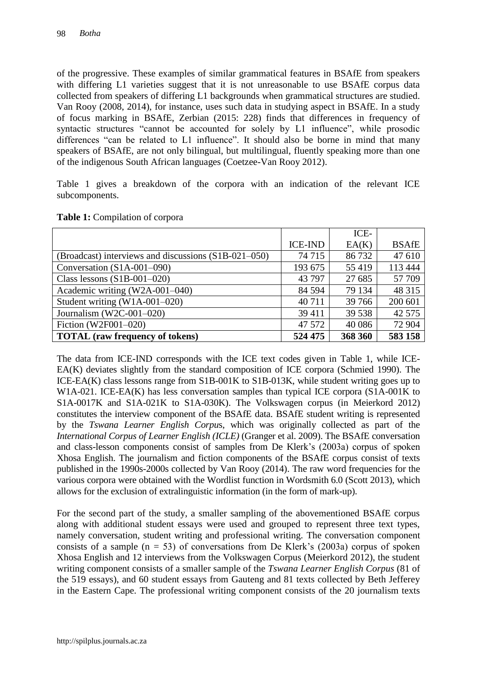of the progressive. These examples of similar grammatical features in BSAfE from speakers with differing L1 varieties suggest that it is not unreasonable to use BSAfE corpus data collected from speakers of differing L1 backgrounds when grammatical structures are studied. Van Rooy (2008, 2014), for instance, uses such data in studying aspect in BSAfE. In a study of focus marking in BSAfE, Zerbian (2015: 228) finds that differences in frequency of syntactic structures "cannot be accounted for solely by L1 influence", while prosodic differences "can be related to L1 influence". It should also be borne in mind that many speakers of BSAfE, are not only bilingual, but multilingual, fluently speaking more than one of the indigenous South African languages (Coetzee-Van Rooy 2012).

Table 1 gives a breakdown of the corpora with an indication of the relevant ICE subcomponents.

|                                                      |                | ICE-    |              |
|------------------------------------------------------|----------------|---------|--------------|
|                                                      | <b>ICE-IND</b> | EA(K)   | <b>BSAfE</b> |
| (Broadcast) interviews and discussions (S1B-021-050) | 74 715         | 86732   | 47 610       |
| Conversation (S1A-001-090)                           | 193 675        | 55 419  | 113 444      |
| Class lessons $(S1B-001-020)$                        | 43 797         | 27 685  | 57 709       |
| Academic writing (W2A-001-040)                       | 84 5 94        | 79 134  | 48 3 15      |
| Student writing $(W1A-001-020)$                      | 40 711         | 39 766  | 200 601      |
| Journalism (W2C-001-020)                             | 39 4 11        | 39 5 38 | 42 5 7 5     |
| Fiction (W2F001-020)                                 | 47 572         | 40 0 86 | 72 904       |
| <b>TOTAL</b> (raw frequency of tokens)               | 524 475        | 368 360 | 583 158      |

The data from ICE-IND corresponds with the ICE text codes given in Table 1, while ICE-EA(K) deviates slightly from the standard composition of ICE corpora (Schmied 1990). The ICE-EA(K) class lessons range from S1B-001K to S1B-013K, while student writing goes up to W1A-021. ICE-EA(K) has less conversation samples than typical ICE corpora (S1A-001K to S1A-0017K and S1A-021K to S1A-030K). The Volkswagen corpus (in Meierkord 2012) constitutes the interview component of the BSAfE data. BSAfE student writing is represented by the *Tswana Learner English Corpu*s, which was originally collected as part of the *International Corpus of Learner English (ICLE)* (Granger et al. 2009). The BSAfE conversation and class-lesson components consist of samples from De Klerk"s (2003a) corpus of spoken Xhosa English. The journalism and fiction components of the BSAfE corpus consist of texts published in the 1990s-2000s collected by Van Rooy (2014). The raw word frequencies for the various corpora were obtained with the Wordlist function in Wordsmith 6.0 (Scott 2013), which allows for the exclusion of extralinguistic information (in the form of mark-up).

For the second part of the study, a smaller sampling of the abovementioned BSAfE corpus along with additional student essays were used and grouped to represent three text types, namely conversation, student writing and professional writing. The conversation component consists of a sample  $(n = 53)$  of conversations from De Klerk's (2003a) corpus of spoken Xhosa English and 12 interviews from the Volkswagen Corpus (Meierkord 2012), the student writing component consists of a smaller sample of the *Tswana Learner English Corpus* (81 of the 519 essays), and 60 student essays from Gauteng and 81 texts collected by Beth Jefferey in the Eastern Cape. The professional writing component consists of the 20 journalism texts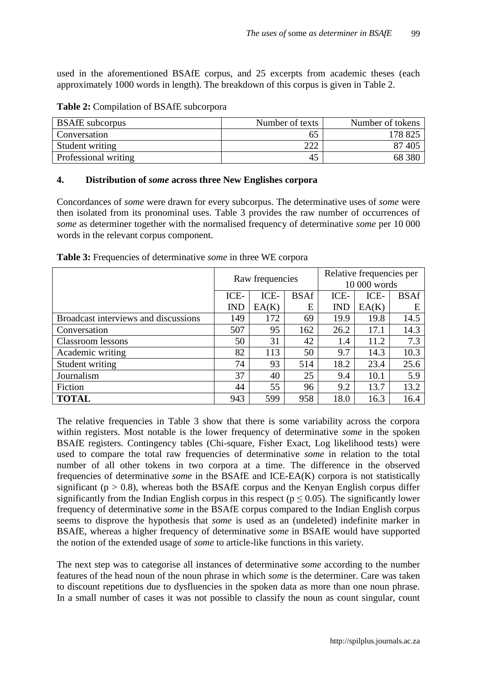used in the aforementioned BSAfE corpus, and 25 excerpts from academic theses (each approximately 1000 words in length). The breakdown of this corpus is given in Table 2.

| <b>BSAfE</b> subcorpus | Number of texts | Number of tokens |
|------------------------|-----------------|------------------|
| Conversation           | 65              | 178 825          |
| Student writing        | 222             | 87 405           |
| Professional writing   | 45              | 68 380           |

**Table 2:** Compilation of BSAfE subcorpora

## **4. Distribution of** *some* **across three New Englishes corpora**

Concordances of *some* were drawn for every subcorpus. The determinative uses of *some* were then isolated from its pronominal uses. Table 3 provides the raw number of occurrences of *some* as determiner together with the normalised frequency of determinative *some* per 10 000 words in the relevant corpus component.

|                                      | Raw frequencies |       |             | Relative frequencies per |       |             |
|--------------------------------------|-----------------|-------|-------------|--------------------------|-------|-------------|
|                                      |                 |       |             | 10 000 words             |       |             |
|                                      | ICE-            | ICE-  | <b>BSAf</b> | ICE-                     | ICE-  | <b>BSAf</b> |
|                                      | <b>IND</b>      | EA(K) | E           | <b>IND</b>               | EA(K) | Е           |
| Broadcast interviews and discussions | 149             | 172   | 69          | 19.9                     | 19.8  | 14.5        |
| Conversation                         | 507             | 95    | 162         | 26.2                     | 17.1  | 14.3        |
| Classroom lessons                    | 50              | 31    | 42          | 1.4                      | 11.2  | 7.3         |
| Academic writing                     | 82              | 113   | 50          | 9.7                      | 14.3  | 10.3        |
| Student writing                      | 74              | 93    | 514         | 18.2                     | 23.4  | 25.6        |
| Journalism                           | 37              | 40    | 25          | 9.4                      | 10.1  | 5.9         |
| Fiction                              | 44              | 55    | 96          | 9.2                      | 13.7  | 13.2        |
| <b>TOTAL</b>                         | 943             | 599   | 958         | 18.0                     | 16.3  | 16.4        |

**Table 3:** Frequencies of determinative *some* in three WE corpora

The relative frequencies in Table 3 show that there is some variability across the corpora within registers. Most notable is the lower frequency of determinative *some* in the spoken BSAfE registers. Contingency tables (Chi-square, Fisher Exact, Log likelihood tests) were used to compare the total raw frequencies of determinative *some* in relation to the total number of all other tokens in two corpora at a time. The difference in the observed frequencies of determinative *some* in the BSAfE and ICE-EA(K) corpora is not statistically significant ( $p > 0.8$ ), whereas both the BSAfE corpus and the Kenyan English corpus differ significantly from the Indian English corpus in this respect ( $p \le 0.05$ ). The significantly lower frequency of determinative *some* in the BSAfE corpus compared to the Indian English corpus seems to disprove the hypothesis that *some* is used as an (undeleted) indefinite marker in BSAfE, whereas a higher frequency of determinative *some* in BSAfE would have supported the notion of the extended usage of *some* to article-like functions in this variety.

The next step was to categorise all instances of determinative *some* according to the number features of the head noun of the noun phrase in which *some* is the determiner. Care was taken to discount repetitions due to dysfluencies in the spoken data as more than one noun phrase. In a small number of cases it was not possible to classify the noun as count singular, count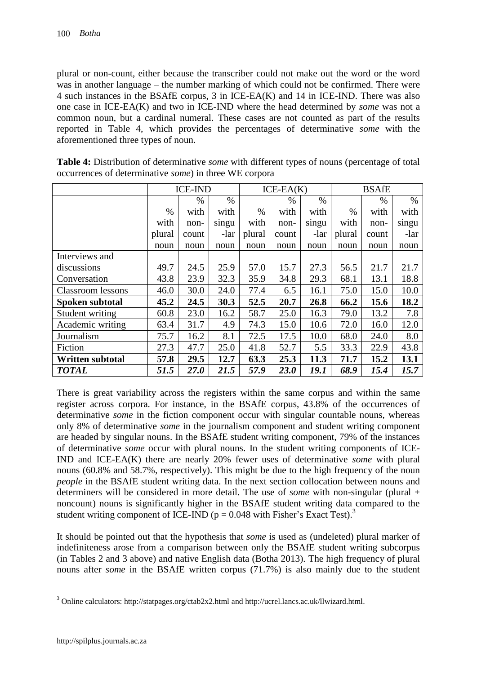plural or non-count, either because the transcriber could not make out the word or the word was in another language – the number marking of which could not be confirmed. There were 4 such instances in the BSAfE corpus, 3 in ICE-EA(K) and 14 in ICE-IND. There was also one case in ICE-EA(K) and two in ICE-IND where the head determined by *some* was not a common noun, but a cardinal numeral. These cases are not counted as part of the results reported in Table 4, which provides the percentages of determinative *some* with the aforementioned three types of noun.

| <b>Table 4:</b> Distribution of determinative <i>some</i> with different types of nouns (percentage of total |
|--------------------------------------------------------------------------------------------------------------|
| occurrences of determinative <i>some</i> ) in three WE corpora                                               |

|                          |        | <b>ICE-IND</b> |       |        | $ICE-EA(K)$ |       | <b>BSAfE</b> |       |       |
|--------------------------|--------|----------------|-------|--------|-------------|-------|--------------|-------|-------|
|                          |        | $\%$           | $\%$  |        | $\%$        | $\%$  |              | $\%$  | $\%$  |
|                          | $\%$   | with           | with  | $\%$   | with        | with  | $\%$         | with  | with  |
|                          | with   | non-           | singu | with   | non-        | singu | with         | non-  | singu |
|                          | plural | count          | -lar  | plural | count       | -lar  | plural       | count | -lar  |
|                          | noun   | noun           | noun  | noun   | noun        | noun  | noun         | noun  | noun  |
| Interviews and           |        |                |       |        |             |       |              |       |       |
| discussions              | 49.7   | 24.5           | 25.9  | 57.0   | 15.7        | 27.3  | 56.5         | 21.7  | 21.7  |
| Conversation             | 43.8   | 23.9           | 32.3  | 35.9   | 34.8        | 29.3  | 68.1         | 13.1  | 18.8  |
| <b>Classroom</b> lessons | 46.0   | 30.0           | 24.0  | 77.4   | 6.5         | 16.1  | 75.0         | 15.0  | 10.0  |
| Spoken subtotal          | 45.2   | 24.5           | 30.3  | 52.5   | 20.7        | 26.8  | 66.2         | 15.6  | 18.2  |
| Student writing          | 60.8   | 23.0           | 16.2  | 58.7   | 25.0        | 16.3  | 79.0         | 13.2  | 7.8   |
| Academic writing         | 63.4   | 31.7           | 4.9   | 74.3   | 15.0        | 10.6  | 72.0         | 16.0  | 12.0  |
| Journalism               | 75.7   | 16.2           | 8.1   | 72.5   | 17.5        | 10.0  | 68.0         | 24.0  | 8.0   |
| Fiction                  | 27.3   | 47.7           | 25.0  | 41.8   | 52.7        | 5.5   | 33.3         | 22.9  | 43.8  |
| <b>Written subtotal</b>  | 57.8   | 29.5           | 12.7  | 63.3   | 25.3        | 11.3  | 71.7         | 15.2  | 13.1  |
| <b>TOTAL</b>             | 51.5   | <b>27.0</b>    | 21.5  | 57.9   | <b>23.0</b> | 19.1  | 68.9         | 15.4  | 15.7  |

There is great variability across the registers within the same corpus and within the same register across corpora. For instance, in the BSAfE corpus, 43.8% of the occurrences of determinative *some* in the fiction component occur with singular countable nouns, whereas only 8% of determinative *some* in the journalism component and student writing component are headed by singular nouns. In the BSAfE student writing component, 79% of the instances of determinative *some* occur with plural nouns. In the student writing components of ICE-IND and ICE-EA(K) there are nearly 20% fewer uses of determinative *some* with plural nouns (60.8% and 58.7%, respectively). This might be due to the high frequency of the noun *people* in the BSAfE student writing data. In the next section collocation between nouns and determiners will be considered in more detail. The use of *some* with non-singular (plural + noncount) nouns is significantly higher in the BSAfE student writing data compared to the student writing component of ICE-IND ( $p = 0.048$  with Fisher's Exact Test).<sup>3</sup>

It should be pointed out that the hypothesis that *some* is used as (undeleted) plural marker of indefiniteness arose from a comparison between only the BSAfE student writing subcorpus (in Tables 2 and 3 above) and native English data (Botha 2013). The high frequency of plural nouns after *some* in the BSAfE written corpus (71.7%) is also mainly due to the student

 $\overline{a}$ <sup>3</sup> Online calculators:<http://statpages.org/ctab2x2.html> and [http://ucrel.lancs.ac.uk/llwizard.html.](http://ucrel.lancs.ac.uk/llwizard.html)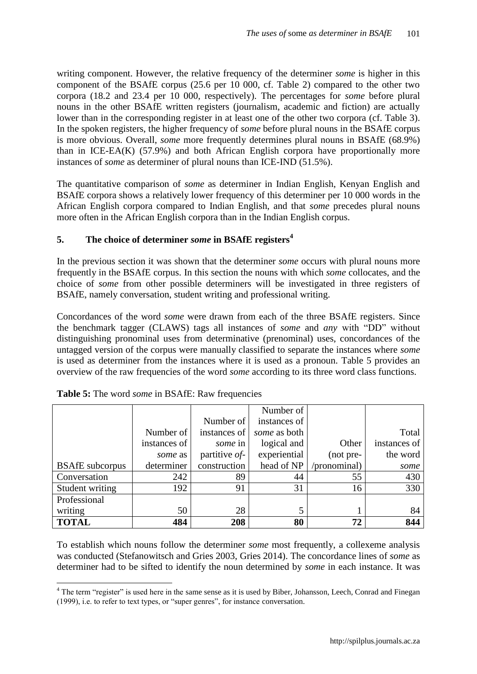writing component. However, the relative frequency of the determiner *some* is higher in this component of the BSAfE corpus (25.6 per 10 000, cf. Table 2) compared to the other two corpora (18.2 and 23.4 per 10 000, respectively). The percentages for *some* before plural nouns in the other BSAfE written registers (journalism, academic and fiction) are actually lower than in the corresponding register in at least one of the other two corpora (cf. Table 3). In the spoken registers, the higher frequency of *some* before plural nouns in the BSAfE corpus is more obvious. Overall, *some* more frequently determines plural nouns in BSAfE (68.9%) than in ICE-EA(K) (57.9%) and both African English corpora have proportionally more instances of *some* as determiner of plural nouns than ICE-IND (51.5%).

The quantitative comparison of *some* as determiner in Indian English, Kenyan English and BSAfE corpora shows a relatively lower frequency of this determiner per 10 000 words in the African English corpora compared to Indian English, and that *some* precedes plural nouns more often in the African English corpora than in the Indian English corpus.

## **5. The choice of determiner** *some* **in BSAfE registers<sup>4</sup>**

In the previous section it was shown that the determiner *some* occurs with plural nouns more frequently in the BSAfE corpus. In this section the nouns with which *some* collocates, and the choice of *some* from other possible determiners will be investigated in three registers of BSAfE, namely conversation, student writing and professional writing.

Concordances of the word *some* were drawn from each of the three BSAfE registers. Since the benchmark tagger (CLAWS) tags all instances of *some* and *any* with "DD" without distinguishing pronominal uses from determinative (prenominal) uses, concordances of the untagged version of the corpus were manually classified to separate the instances where *some* is used as determiner from the instances where it is used as a pronoun. Table 5 provides an overview of the raw frequencies of the word *some* according to its three word class functions.

|                        |              |                  | Number of    |              |              |
|------------------------|--------------|------------------|--------------|--------------|--------------|
|                        |              | Number of        | instances of |              |              |
|                        | Number of    | instances of     | some as both |              | Total        |
|                        | instances of | some in          | logical and  | Other        | instances of |
|                        | some as      | partitive $of$ - | experiential | (not pre-    | the word     |
| <b>BSAfE</b> subcorpus | determiner   | construction     | head of NP   | (pronominal) | some         |
| Conversation           | 242          | 89               | 44           | 55           | 430          |
| Student writing        | 192          | 91               | 31           | 16           | 330          |
| Professional           |              |                  |              |              |              |
| writing                | 50           | 28               | 5            |              | 84           |
| <b>TOTAL</b>           | 484          | 208              | 80           | 72           | 844          |

| <b>Table 5:</b> The word <i>some</i> in BSAfE: Raw frequencies |  |
|----------------------------------------------------------------|--|
|----------------------------------------------------------------|--|

 $\overline{a}$ 

To establish which nouns follow the determiner *some* most frequently, a collexeme analysis was conducted (Stefanowitsch and Gries 2003, Gries 2014). The concordance lines of *some* as determiner had to be sifted to identify the noun determined by *some* in each instance. It was

<sup>&</sup>lt;sup>4</sup> The term "register" is used here in the same sense as it is used by Biber, Johansson, Leech, Conrad and Finegan (1999), i.e. to refer to text types, or "super genres", for instance conversation.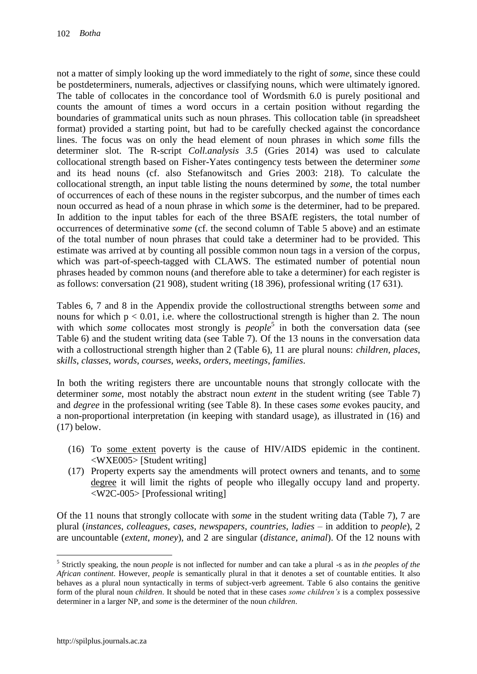not a matter of simply looking up the word immediately to the right of *some*, since these could be postdeterminers, numerals, adjectives or classifying nouns, which were ultimately ignored. The table of collocates in the concordance tool of Wordsmith 6.0 is purely positional and counts the amount of times a word occurs in a certain position without regarding the boundaries of grammatical units such as noun phrases. This collocation table (in spreadsheet format) provided a starting point, but had to be carefully checked against the concordance lines. The focus was on only the head element of noun phrases in which *some* fills the determiner slot. The R-script *Coll.analysis 3.5* (Gries 2014) was used to calculate collocational strength based on Fisher-Yates contingency tests between the determiner *some* and its head nouns (cf. also Stefanowitsch and Gries 2003: 218). To calculate the collocational strength, an input table listing the nouns determined by *some*, the total number of occurrences of each of these nouns in the register subcorpus, and the number of times each noun occurred as head of a noun phrase in which *some* is the determiner, had to be prepared. In addition to the input tables for each of the three BSAfE registers, the total number of occurrences of determinative *some* (cf. the second column of Table 5 above) and an estimate of the total number of noun phrases that could take a determiner had to be provided. This estimate was arrived at by counting all possible common noun tags in a version of the corpus, which was part-of-speech-tagged with CLAWS. The estimated number of potential noun phrases headed by common nouns (and therefore able to take a determiner) for each register is as follows: conversation (21 908), student writing (18 396), professional writing (17 631).

Tables 6, 7 and 8 in the Appendix provide the collostructional strengths between *some* and nouns for which  $p < 0.01$ , i.e. where the collostructional strength is higher than 2. The noun with which *some* collocates most strongly is  $people^5$  in both the conversation data (see Table 6) and the student writing data (see Table 7). Of the 13 nouns in the conversation data with a collostructional strength higher than 2 (Table 6), 11 are plural nouns: *children*, *places*, *skills*, *classes*, *words*, *courses*, *weeks*, *orders*, *meetings*, *families*.

In both the writing registers there are uncountable nouns that strongly collocate with the determiner *some*, most notably the abstract noun *extent* in the student writing (see Table 7) and *degree* in the professional writing (see Table 8). In these cases *some* evokes paucity, and a non-proportional interpretation (in keeping with standard usage), as illustrated in (16) and (17) below.

- (16) To some extent poverty is the cause of HIV/AIDS epidemic in the continent. <WXE005> [Student writing]
- (17) Property experts say the amendments will protect owners and tenants, and to some degree it will limit the rights of people who illegally occupy land and property. <W2C-005> [Professional writing]

Of the 11 nouns that strongly collocate with *some* in the student writing data (Table 7), 7 are plural (*instances*, *colleagues*, *cases*, *newspapers*, *countries*, *ladies* – in addition to *people*), 2 are uncountable (*extent*, *money*), and 2 are singular (*distance*, *animal*). Of the 12 nouns with

<sup>5</sup> Strictly speaking, the noun *people* is not inflected for number and can take a plural -s as in *the peoples of the African continent*. However, *people* is semantically plural in that it denotes a set of countable entities. It also behaves as a plural noun syntactically in terms of subject-verb agreement. Table 6 also contains the genitive form of the plural noun *children*. It should be noted that in these cases *some children's* is a complex possessive determiner in a larger NP, and *some* is the determiner of the noun *children*.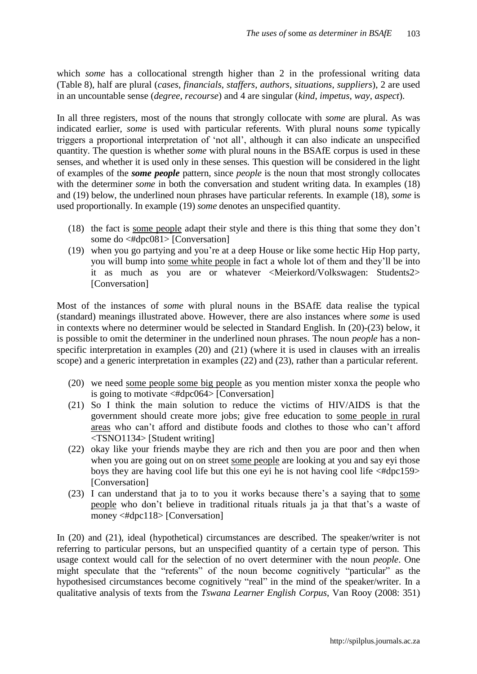which *some* has a collocational strength higher than 2 in the professional writing data (Table 8), half are plural (*cases*, *financials*, *staffers*, *authors*, *situations*, *suppliers*), 2 are used in an uncountable sense (*degree*, *recourse*) and 4 are singular (*kind*, *impetus*, *way*, *aspect*).

In all three registers, most of the nouns that strongly collocate with *some* are plural. As was indicated earlier, *some* is used with particular referents. With plural nouns *some* typically triggers a proportional interpretation of "not all", although it can also indicate an unspecified quantity. The question is whether *some* with plural nouns in the BSAfE corpus is used in these senses, and whether it is used only in these senses. This question will be considered in the light of examples of the *some people* pattern, since *people* is the noun that most strongly collocates with the determiner *some* in both the conversation and student writing data. In examples (18) and (19) below, the underlined noun phrases have particular referents. In example (18), *some* is used proportionally. In example (19) *some* denotes an unspecified quantity.

- (18) the fact is some people adapt their style and there is this thing that some they don"t some do <#dpc081> [Conversation]
- (19) when you go partying and you"re at a deep House or like some hectic Hip Hop party, you will bump into some white people in fact a whole lot of them and they"ll be into it as much as you are or whatever <Meierkord/Volkswagen: Students2> [Conversation]

Most of the instances of *some* with plural nouns in the BSAfE data realise the typical (standard) meanings illustrated above. However, there are also instances where *some* is used in contexts where no determiner would be selected in Standard English. In (20)-(23) below, it is possible to omit the determiner in the underlined noun phrases. The noun *people* has a nonspecific interpretation in examples (20) and (21) (where it is used in clauses with an irrealis scope) and a generic interpretation in examples (22) and (23), rather than a particular referent.

- (20) we need some people some big people as you mention mister xonxa the people who is going to motivate  $\langle #dpc064 \rangle$  [Conversation]
- (21) So I think the main solution to reduce the victims of HIV/AIDS is that the government should create more jobs; give free education to some people in rural areas who can"t afford and distibute foods and clothes to those who can"t afford <TSNO1134> [Student writing]
- (22) okay like your friends maybe they are rich and then you are poor and then when when you are going out on on street some people are looking at you and say eyi those boys they are having cool life but this one eyi he is not having cool life <#dpc159> [Conversation]
- (23) I can understand that ja to to you it works because there"s a saying that to some people who don"t believe in traditional rituals rituals ja ja that that"s a waste of money <#dpc118> [Conversation]

In (20) and (21), ideal (hypothetical) circumstances are described. The speaker/writer is not referring to particular persons, but an unspecified quantity of a certain type of person. This usage context would call for the selection of no overt determiner with the noun *people*. One might speculate that the "referents" of the noun become cognitively "particular" as the hypothesised circumstances become cognitively "real" in the mind of the speaker/writer. In a qualitative analysis of texts from the *Tswana Learner English Corpus*, Van Rooy (2008: 351)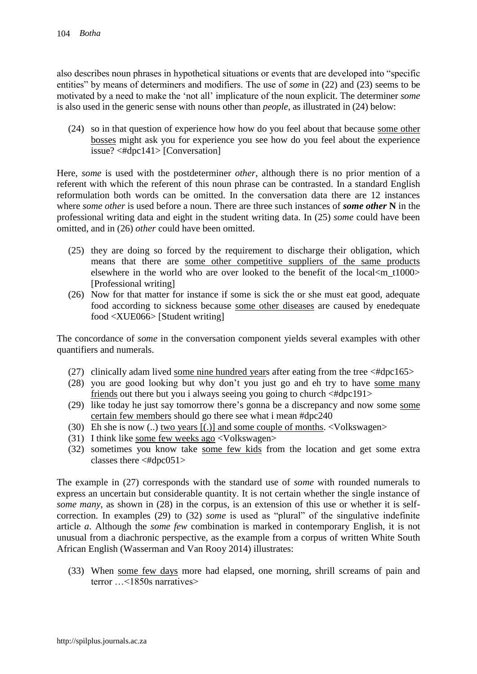also describes noun phrases in hypothetical situations or events that are developed into "specific entities" by means of determiners and modifiers. The use of *some* in (22) and (23) seems to be motivated by a need to make the "not all" implicature of the noun explicit. The determiner *some* is also used in the generic sense with nouns other than *people*, as illustrated in (24) below:

(24) so in that question of experience how how do you feel about that because some other bosses might ask you for experience you see how do you feel about the experience issue? <#dpc141> [Conversation]

Here, *some* is used with the postdeterminer *other*, although there is no prior mention of a referent with which the referent of this noun phrase can be contrasted. In a standard English reformulation both words can be omitted. In the conversation data there are 12 instances where *some other* is used before a noun. There are three such instances of *some other* **N** in the professional writing data and eight in the student writing data. In (25) *some* could have been omitted, and in (26) *other* could have been omitted.

- (25) they are doing so forced by the requirement to discharge their obligation, which means that there are some other competitive suppliers of the same products elsewhere in the world who are over looked to the benefit of the local  $\langle m \rangle$  to 1000  $>$ [Professional writing]
- (26) Now for that matter for instance if some is sick the or she must eat good, adequate food according to sickness because some other diseases are caused by enedequate food <XUE066> [Student writing]

The concordance of *some* in the conversation component yields several examples with other quantifiers and numerals.

- (27) clinically adam lived some nine hundred years after eating from the tree  $\langle #dpc165 \rangle$
- (28) you are good looking but why don"t you just go and eh try to have some many friends out there but you i always seeing you going to church <#dpc191>
- (29) like today he just say tomorrow there"s gonna be a discrepancy and now some some certain few members should go there see what i mean #dpc240
- (30) Eh she is now (..) two years [(.)] and some couple of months. <Volkswagen>
- (31) I think like some few weeks ago  $\langle \text{Volkswagen} \rangle$
- (32) sometimes you know take some few kids from the location and get some extra classes there <#dpc051>

The example in (27) corresponds with the standard use of *some* with rounded numerals to express an uncertain but considerable quantity. It is not certain whether the single instance of *some many*, as shown in (28) in the corpus, is an extension of this use or whether it is selfcorrection. In examples (29) to (32) *some* is used as "plural" of the singulative indefinite article *a*. Although the *some few* combination is marked in contemporary English, it is not unusual from a diachronic perspective, as the example from a corpus of written White South African English (Wasserman and Van Rooy 2014) illustrates:

(33) When some few days more had elapsed, one morning, shrill screams of pain and terror …<1850s narratives>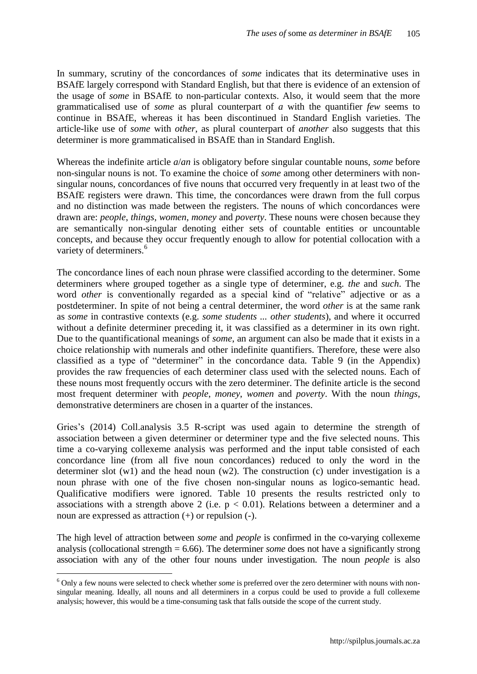In summary, scrutiny of the concordances of *some* indicates that its determinative uses in BSAfE largely correspond with Standard English, but that there is evidence of an extension of the usage of *some* in BSAfE to non-particular contexts. Also, it would seem that the more grammaticalised use of *some* as plural counterpart of *a* with the quantifier *few* seems to continue in BSAfE, whereas it has been discontinued in Standard English varieties. The article-like use of *some* with *other*, as plural counterpart of *another* also suggests that this determiner is more grammaticalised in BSAfE than in Standard English.

Whereas the indefinite article *a*/*an* is obligatory before singular countable nouns, *some* before non-singular nouns is not. To examine the choice of *some* among other determiners with nonsingular nouns, concordances of five nouns that occurred very frequently in at least two of the BSAfE registers were drawn. This time, the concordances were drawn from the full corpus and no distinction was made between the registers. The nouns of which concordances were drawn are: *people*, *things*, *women*, *money* and *poverty*. These nouns were chosen because they are semantically non-singular denoting either sets of countable entities or uncountable concepts, and because they occur frequently enough to allow for potential collocation with a variety of determiners.<sup>6</sup>

The concordance lines of each noun phrase were classified according to the determiner. Some determiners where grouped together as a single type of determiner, e.g. *the* and *such*. The word *other* is conventionally regarded as a special kind of "relative" adjective or as a postdeterminer. In spite of not being a central determiner, the word *other* is at the same rank as *some* in contrastive contexts (e.g. *some students ... other students*), and where it occurred without a definite determiner preceding it, it was classified as a determiner in its own right. Due to the quantificational meanings of *some*, an argument can also be made that it exists in a choice relationship with numerals and other indefinite quantifiers. Therefore, these were also classified as a type of "determiner" in the concordance data. Table 9 (in the Appendix) provides the raw frequencies of each determiner class used with the selected nouns. Each of these nouns most frequently occurs with the zero determiner. The definite article is the second most frequent determiner with *people*, *money*, *women* and *poverty*. With the noun *things*, demonstrative determiners are chosen in a quarter of the instances.

Gries's (2014) Coll.analysis 3.5 R-script was used again to determine the strength of association between a given determiner or determiner type and the five selected nouns. This time a co-varying collexeme analysis was performed and the input table consisted of each concordance line (from all five noun concordances) reduced to only the word in the determiner slot (w1) and the head noun (w2). The construction (c) under investigation is a noun phrase with one of the five chosen non-singular nouns as logico-semantic head. Qualificative modifiers were ignored. Table 10 presents the results restricted only to associations with a strength above 2 (i.e.  $p < 0.01$ ). Relations between a determiner and a noun are expressed as attraction (+) or repulsion (-).

The high level of attraction between *some* and *people* is confirmed in the co-varying collexeme analysis (collocational strength = 6.66). The determiner *some* does not have a significantly strong association with any of the other four nouns under investigation. The noun *people* is also

<sup>6</sup> Only a few nouns were selected to check whether *some* is preferred over the zero determiner with nouns with nonsingular meaning. Ideally, all nouns and all determiners in a corpus could be used to provide a full collexeme analysis; however, this would be a time-consuming task that falls outside the scope of the current study.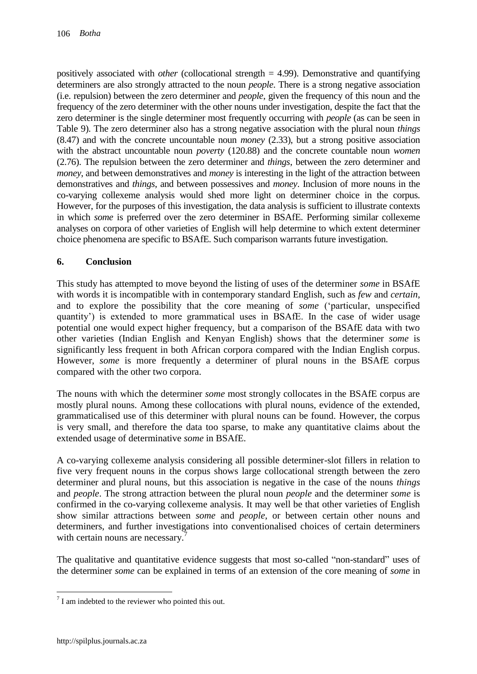positively associated with *other* (collocational strength = 4.99). Demonstrative and quantifying determiners are also strongly attracted to the noun *people*. There is a strong negative association (i.e. repulsion) between the zero determiner and *people*, given the frequency of this noun and the frequency of the zero determiner with the other nouns under investigation, despite the fact that the zero determiner is the single determiner most frequently occurring with *people* (as can be seen in Table 9). The zero determiner also has a strong negative association with the plural noun *things* (8.47) and with the concrete uncountable noun *money* (2.33), but a strong positive association with the abstract uncountable noun *poverty* (120.88) and the concrete countable noun *women* (2.76). The repulsion between the zero determiner and *things*, between the zero determiner and *money*, and between demonstratives and *money* is interesting in the light of the attraction between demonstratives and *things*, and between possessives and *money*. Inclusion of more nouns in the co-varying collexeme analysis would shed more light on determiner choice in the corpus. However, for the purposes of this investigation, the data analysis is sufficient to illustrate contexts in which *some* is preferred over the zero determiner in BSAfE. Performing similar collexeme analyses on corpora of other varieties of English will help determine to which extent determiner choice phenomena are specific to BSAfE. Such comparison warrants future investigation.

# **6. Conclusion**

This study has attempted to move beyond the listing of uses of the determiner *some* in BSAfE with words it is incompatible with in contemporary standard English, such as *few* and *certain*, and to explore the possibility that the core meaning of *some* ("particular, unspecified quantity") is extended to more grammatical uses in BSAfE. In the case of wider usage potential one would expect higher frequency, but a comparison of the BSAfE data with two other varieties (Indian English and Kenyan English) shows that the determiner *some* is significantly less frequent in both African corpora compared with the Indian English corpus. However, *some* is more frequently a determiner of plural nouns in the BSAfE corpus compared with the other two corpora.

The nouns with which the determiner *some* most strongly collocates in the BSAfE corpus are mostly plural nouns. Among these collocations with plural nouns, evidence of the extended, grammaticalised use of this determiner with plural nouns can be found. However, the corpus is very small, and therefore the data too sparse, to make any quantitative claims about the extended usage of determinative *some* in BSAfE.

A co-varying collexeme analysis considering all possible determiner-slot fillers in relation to five very frequent nouns in the corpus shows large collocational strength between the zero determiner and plural nouns, but this association is negative in the case of the nouns *things* and *people*. The strong attraction between the plural noun *people* and the determiner *some* is confirmed in the co-varying collexeme analysis. It may well be that other varieties of English show similar attractions between *some* and *people*, or between certain other nouns and determiners, and further investigations into conventionalised choices of certain determiners with certain nouns are necessary.<sup>7</sup>

The qualitative and quantitative evidence suggests that most so-called "non-standard" uses of the determiner *some* can be explained in terms of an extension of the core meaning of *some* in

 $7$  I am indebted to the reviewer who pointed this out.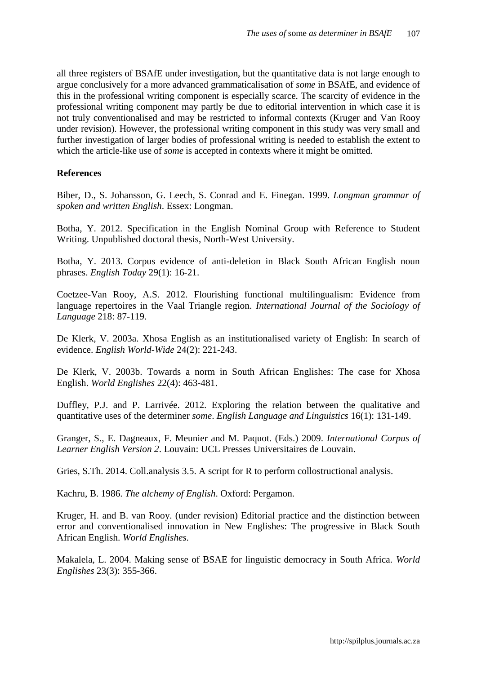all three registers of BSAfE under investigation, but the quantitative data is not large enough to argue conclusively for a more advanced grammaticalisation of *some* in BSAfE, and evidence of this in the professional writing component is especially scarce. The scarcity of evidence in the professional writing component may partly be due to editorial intervention in which case it is not truly conventionalised and may be restricted to informal contexts (Kruger and Van Rooy under revision). However, the professional writing component in this study was very small and further investigation of larger bodies of professional writing is needed to establish the extent to which the article-like use of *some* is accepted in contexts where it might be omitted.

#### **References**

Biber, D., S. Johansson, G. Leech, S. Conrad and E. Finegan. 1999. *Longman grammar of spoken and written English*. Essex: Longman.

Botha, Y. 2012. Specification in the English Nominal Group with Reference to Student Writing. Unpublished doctoral thesis, North-West University.

Botha, Y. 2013. Corpus evidence of anti-deletion in Black South African English noun phrases. *English Today* 29(1): 16-21.

Coetzee-Van Rooy, A.S. 2012. Flourishing functional multilingualism: Evidence from language repertoires in the Vaal Triangle region. *International Journal of the Sociology of Language* 218: 87-119.

De Klerk, V. 2003a. Xhosa English as an institutionalised variety of English: In search of evidence. *English World-Wide* 24(2): 221-243.

De Klerk, V. 2003b. Towards a norm in South African Englishes: The case for Xhosa English. *World Englishes* 22(4): 463-481.

Duffley, P.J. and P. Larrivée. 2012. Exploring the relation between the qualitative and quantitative uses of the determiner *some*. *English Language and Linguistics* 16(1): 131-149.

Granger, S., E. Dagneaux, F. Meunier and M. Paquot. (Eds.) 2009. *International Corpus of Learner English Version 2*. Louvain: UCL Presses Universitaires de Louvain.

Gries, S.Th. 2014. Coll.analysis 3.5. A script for R to perform collostructional analysis.

Kachru, B. 1986. *The alchemy of English*. Oxford: Pergamon.

Kruger, H. and B. van Rooy. (under revision) Editorial practice and the distinction between error and conventionalised innovation in New Englishes: The progressive in Black South African English. *World Englishes.*

Makalela, L. 2004. Making sense of BSAE for linguistic democracy in South Africa. *World Englishes* 23(3): 355-366.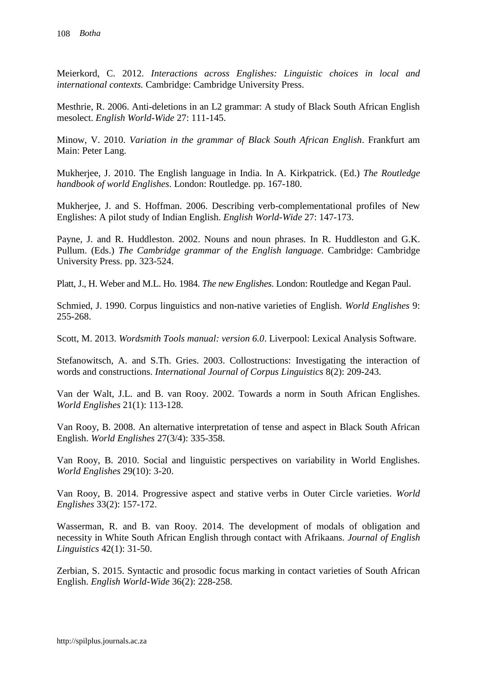Meierkord, C. 2012. *Interactions across Englishes: Linguistic choices in local and international contexts.* Cambridge: Cambridge University Press.

Mesthrie, R. 2006. Anti-deletions in an L2 grammar: A study of Black South African English mesolect. *English World-Wide* 27: 111-145.

Minow, V. 2010. *Variation in the grammar of Black South African English*. Frankfurt am Main: Peter Lang.

Mukherjee, J. 2010. The English language in India. In A. Kirkpatrick. (Ed.) *The Routledge handbook of world Englishes*. London: Routledge. pp. 167-180.

Mukherjee, J. and S. Hoffman. 2006. Describing verb-complementational profiles of New Englishes: A pilot study of Indian English. *English World-Wide* 27: 147-173.

Payne, J. and R. Huddleston. 2002. Nouns and noun phrases. In R. Huddleston and G.K. Pullum. (Eds.) *The Cambridge grammar of the English language*. Cambridge: Cambridge University Press. pp. 323-524.

Platt, J., H. Weber and M.L. Ho. 1984. *The new Englishes*. London: Routledge and Kegan Paul.

Schmied, J. 1990. Corpus linguistics and non-native varieties of English. *World Englishes* 9: 255-268.

Scott, M. 2013. *Wordsmith Tools manual: version 6.0*. Liverpool: Lexical Analysis Software.

Stefanowitsch, A. and S.Th. Gries. 2003. Collostructions: Investigating the interaction of words and constructions. *International Journal of Corpus Linguistics* 8(2): 209-243.

Van der Walt, J.L. and B. van Rooy. 2002. Towards a norm in South African Englishes. *World Englishes* 21(1): 113-128.

Van Rooy, B. 2008. An alternative interpretation of tense and aspect in Black South African English. *World Englishes* 27(3/4): 335-358.

Van Rooy, B. 2010. Social and linguistic perspectives on variability in World Englishes. *World Englishes* 29(10): 3-20.

Van Rooy, B. 2014. Progressive aspect and stative verbs in Outer Circle varieties. *World Englishes* 33(2): 157-172.

Wasserman, R. and B. van Rooy. 2014. The development of modals of obligation and necessity in White South African English through contact with Afrikaans. *Journal of English Linguistics* 42(1): 31-50.

Zerbian, S. 2015. Syntactic and prosodic focus marking in contact varieties of South African English. *English World-Wide* 36(2): 228-258.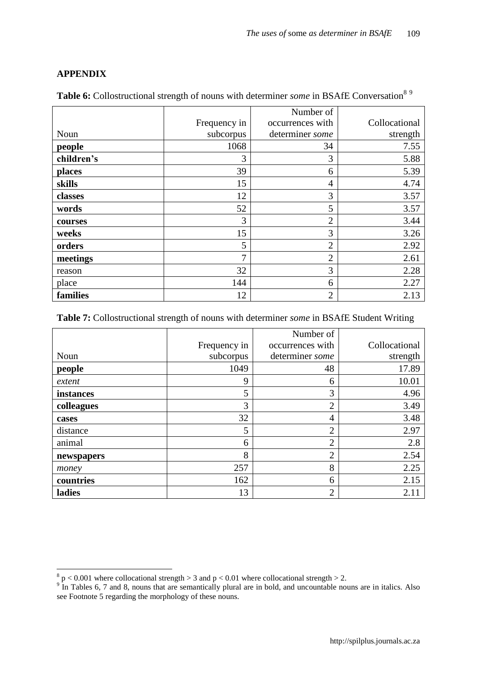# **APPENDIX**

|            |              | Number of        |               |
|------------|--------------|------------------|---------------|
|            | Frequency in | occurrences with | Collocational |
| Noun       | subcorpus    | determiner some  | strength      |
| people     | 1068         | 34               | 7.55          |
| children's |              |                  | 5.88          |

**places** 5.39 **skills** 4.74 **classes**  $12$  3.57 **words** 52 52 5 3.57 **courses**  $3 | 3 | 2 | 3.44$ **weeks** 3.26 **orders** 2 2.92 **meetings** 2.61 reason  $32 \mid 3 \mid 2.28$ place  $144$  6 2.27 **families** 2.13

Table 6: Collostructional strength of nouns with determiner *some* in BSAfE Conversation<sup>89</sup>

#### **Table 7:** Collostructional strength of nouns with determiner *some* in BSAfE Student Writing

|            |              | Number of        |               |
|------------|--------------|------------------|---------------|
|            | Frequency in | occurrences with | Collocational |
| Noun       | subcorpus    | determiner some  | strength      |
| people     | 1049         | 48               | 17.89         |
| extent     | 9            | 6                | 10.01         |
| instances  | 5            | 3                | 4.96          |
| colleagues | 3            | $\overline{2}$   | 3.49          |
| cases      | 32           | $\overline{4}$   | 3.48          |
| distance   | 5            | $\overline{2}$   | 2.97          |
| animal     | 6            | $\overline{2}$   | 2.8           |
| newspapers | 8            | $\overline{2}$   | 2.54          |
| money      | 257          | 8                | 2.25          |
| countries  | 162          | 6                | 2.15          |
| ladies     | 13           | $\overline{2}$   | 2.11          |

 $\frac{8}{9}$  p < 0.001 where collocational strength > 3 and p < 0.01 where collocational strength > 2.<br><sup>9</sup> In Tables 6, 7 and 8, nouns that are semantically plural are in bold, and uncountable nouns are in italics. Also see Footnote 5 regarding the morphology of these nouns.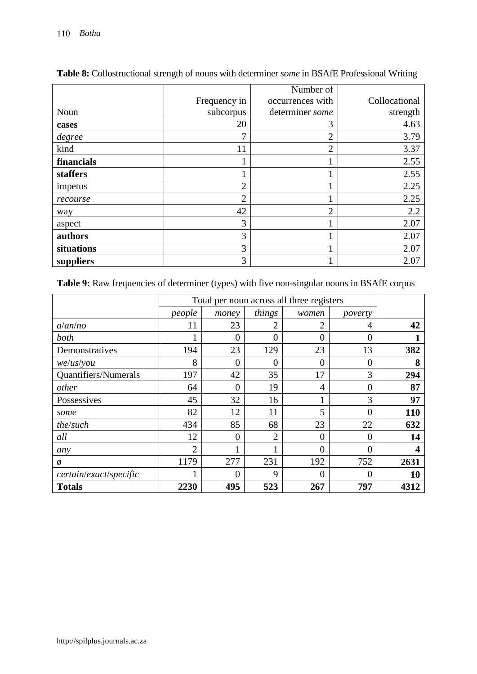|            |                | Number of        |               |
|------------|----------------|------------------|---------------|
|            | Frequency in   | occurrences with | Collocational |
| Noun       | subcorpus      | determiner some  | strength      |
| cases      | 20             | 3                | 4.63          |
| degree     | 7              | $\overline{2}$   | 3.79          |
| kind       | 11             | $\overline{2}$   | 3.37          |
| financials |                |                  | 2.55          |
| staffers   |                |                  | 2.55          |
| impetus    | $\overline{2}$ |                  | 2.25          |
| recourse   | $\overline{2}$ |                  | 2.25          |
| way        | 42             | $\overline{2}$   | 2.2           |
| aspect     | 3              |                  | 2.07          |
| authors    | 3              |                  | 2.07          |
| situations | 3              | T                | 2.07          |
| suppliers  | 3              |                  | 2.07          |

**Table 8:** Collostructional strength of nouns with determiner *some* in BSAfE Professional Writing

Table 9: Raw frequencies of determiner (types) with five non-singular nouns in BSAfE corpus

|                        |                | Total per noun across all three registers |                |                |          |            |  |
|------------------------|----------------|-------------------------------------------|----------------|----------------|----------|------------|--|
|                        | people         | money                                     | things         | women          | poverty  |            |  |
| a/an/no                | 11             | 23                                        | 2              | $\overline{2}$ | 4        | 42         |  |
| both                   |                | $\theta$                                  | $\theta$       | $\overline{0}$ | $\theta$ |            |  |
| Demonstratives         | 194            | 23                                        | 129            | 23             | 13       | 382        |  |
| $we$ /us/you           | 8              | 0                                         | $\overline{0}$ | $\overline{0}$ | 0        | 8          |  |
| Quantifiers/Numerals   | 197            | 42                                        | 35             | 17             | 3        | 294        |  |
| other                  | 64             | $\theta$                                  | 19             | 4              | 0        | 87         |  |
| Possessives            | 45             | 32                                        | 16             |                | 3        | 97         |  |
| some                   | 82             | 12                                        | 11             | 5              | $\theta$ | <b>110</b> |  |
| the/such               | 434            | 85                                        | 68             | 23             | 22       | 632        |  |
| all                    | 12             | $\theta$                                  | $\overline{2}$ | $\overline{0}$ | 0        | 14         |  |
| any                    | $\overline{2}$ |                                           |                | $\theta$       | $\theta$ | 4          |  |
| ø                      | 1179           | 277                                       | 231            | 192            | 752      | 2631       |  |
| certain/exact/specific |                | 0                                         | 9              | $\theta$       | 0        | 10         |  |
| <b>Totals</b>          | 2230           | 495                                       | 523            | 267            | 797      | 4312       |  |